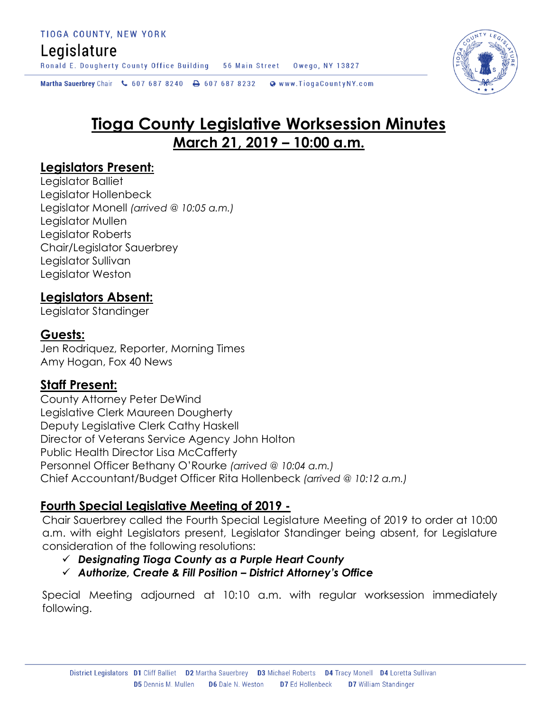## Legislature

Ronald E. Dougherty County Office Building 56 Main Street Owego, NY 13827

Martha Sauerbrey Chair & 607 687 8240 <a>B</a>607 687 8232 <a>B</a>Www.TiogaCountyNY.com

# **Tioga County Legislative Worksession Minutes March 21, 2019 – 10:00 a.m.**

### **Legislators Present:**

Legislator Balliet Legislator Hollenbeck Legislator Monell *(arrived @ 10:05 a.m.)* Legislator Mullen Legislator Roberts Chair/Legislator Sauerbrey Legislator Sullivan Legislator Weston

### **Legislators Absent:**

Legislator Standinger

### **Guests:**

Jen Rodriquez, Reporter, Morning Times Amy Hogan, Fox 40 News

### **Staff Present:**

County Attorney Peter DeWind Legislative Clerk Maureen Dougherty Deputy Legislative Clerk Cathy Haskell Director of Veterans Service Agency John Holton Public Health Director Lisa McCafferty Personnel Officer Bethany O'Rourke *(arrived @ 10:04 a.m.)* Chief Accountant/Budget Officer Rita Hollenbeck *(arrived @ 10:12 a.m.)*

### **Fourth Special Legislative Meeting of 2019 -**

Chair Sauerbrey called the Fourth Special Legislature Meeting of 2019 to order at 10:00 a.m. with eight Legislators present, Legislator Standinger being absent, for Legislature consideration of the following resolutions:

### *Designating Tioga County as a Purple Heart County*

### *Authorize, Create & Fill Position – District Attorney's Office*

Special Meeting adjourned at 10:10 a.m. with regular worksession immediately following.

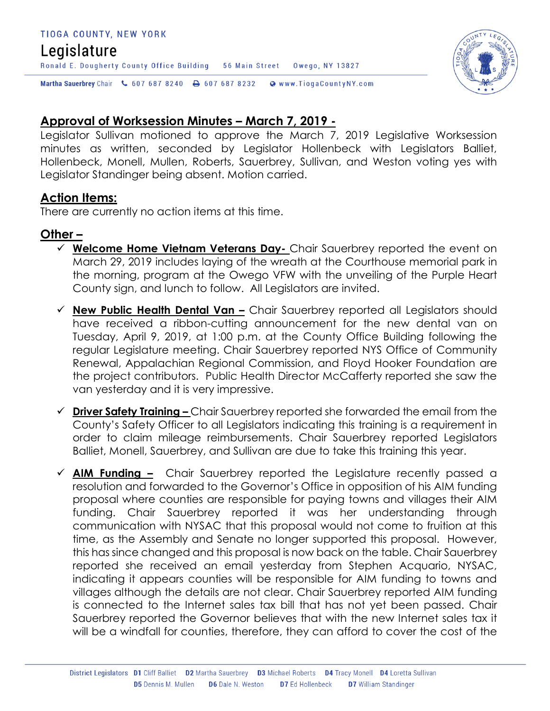#### TIOGA COUNTY, NEW YORK

## Legislature

Martha Sauerbrey Chair & 607 687 8240 <a>B</a>607 687 8232 <a>B</a>Www.TiogaCountyNY.com

### **Approval of Worksession Minutes – March 7, 2019 -**

Legislator Sullivan motioned to approve the March 7, 2019 Legislative Worksession minutes as written, seconded by Legislator Hollenbeck with Legislators Balliet, Hollenbeck, Monell, Mullen, Roberts, Sauerbrey, Sullivan, and Weston voting yes with Legislator Standinger being absent. Motion carried.

Owego, NY 13827

### **Action Items:**

There are currently no action items at this time.

Ronald E. Dougherty County Office Building 56 Main Street

### **Other –**

- **Welcome Home Vietnam Veterans Day-** Chair Sauerbrey reported the event on March 29, 2019 includes laying of the wreath at the Courthouse memorial park in the morning, program at the Owego VFW with the unveiling of the Purple Heart County sign, and lunch to follow. All Legislators are invited.
- **New Public Health Dental Van –** Chair Sauerbrey reported all Legislators should have received a ribbon-cutting announcement for the new dental van on Tuesday, April 9, 2019, at 1:00 p.m. at the County Office Building following the regular Legislature meeting. Chair Sauerbrey reported NYS Office of Community Renewal, Appalachian Regional Commission, and Floyd Hooker Foundation are the project contributors. Public Health Director McCafferty reported she saw the van yesterday and it is very impressive.
- **Driver Safety Training –** Chair Sauerbrey reported she forwarded the email from the County's Safety Officer to all Legislators indicating this training is a requirement in order to claim mileage reimbursements. Chair Sauerbrey reported Legislators Balliet, Monell, Sauerbrey, and Sullivan are due to take this training this year.
- **AIM Funding –** Chair Sauerbrey reported the Legislature recently passed a resolution and forwarded to the Governor's Office in opposition of his AIM funding proposal where counties are responsible for paying towns and villages their AIM funding. Chair Sauerbrey reported it was her understanding through communication with NYSAC that this proposal would not come to fruition at this time, as the Assembly and Senate no longer supported this proposal. However, this has since changed and this proposal is now back on the table. Chair Sauerbrey reported she received an email yesterday from Stephen Acquario, NYSAC, indicating it appears counties will be responsible for AIM funding to towns and villages although the details are not clear. Chair Sauerbrey reported AIM funding is connected to the Internet sales tax bill that has not yet been passed. Chair Sauerbrey reported the Governor believes that with the new Internet sales tax it will be a windfall for counties, therefore, they can afford to cover the cost of the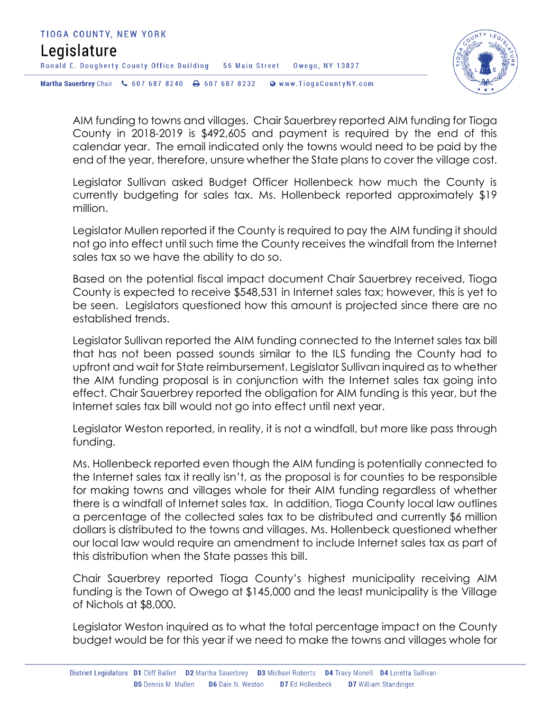

AIM funding to towns and villages. Chair Sauerbrey reported AIM funding for Tioga County in 2018-2019 is \$492,605 and payment is required by the end of this calendar year. The email indicated only the towns would need to be paid by the end of the year, therefore, unsure whether the State plans to cover the village cost.

Legislator Sullivan asked Budget Officer Hollenbeck how much the County is currently budgeting for sales tax. Ms. Hollenbeck reported approximately \$19 million.

Legislator Mullen reported if the County is required to pay the AIM funding it should not go into effect until such time the County receives the windfall from the Internet sales tax so we have the ability to do so.

Based on the potential fiscal impact document Chair Sauerbrey received, Tioga County is expected to receive \$548,531 in Internet sales tax; however, this is yet to be seen. Legislators questioned how this amount is projected since there are no established trends.

Legislator Sullivan reported the AIM funding connected to the Internet sales tax bill that has not been passed sounds similar to the ILS funding the County had to upfront and wait for State reimbursement. Legislator Sullivan inquired as to whether the AIM funding proposal is in conjunction with the Internet sales tax going into effect. Chair Sauerbrey reported the obligation for AIM funding is this year, but the Internet sales tax bill would not go into effect until next year.

Legislator Weston reported, in reality, it is not a windfall, but more like pass through funding.

Ms. Hollenbeck reported even though the AIM funding is potentially connected to the Internet sales tax it really isn't, as the proposal is for counties to be responsible for making towns and villages whole for their AIM funding regardless of whether there is a windfall of Internet sales tax. In addition, Tioga County local law outlines a percentage of the collected sales tax to be distributed and currently \$6 million dollars is distributed to the towns and villages. Ms. Hollenbeck questioned whether our local law would require an amendment to include Internet sales tax as part of this distribution when the State passes this bill.

Chair Sauerbrey reported Tioga County's highest municipality receiving AIM funding is the Town of Owego at \$145,000 and the least municipality is the Village of Nichols at \$8,000.

Legislator Weston inquired as to what the total percentage impact on the County budget would be for this year if we need to make the towns and villages whole for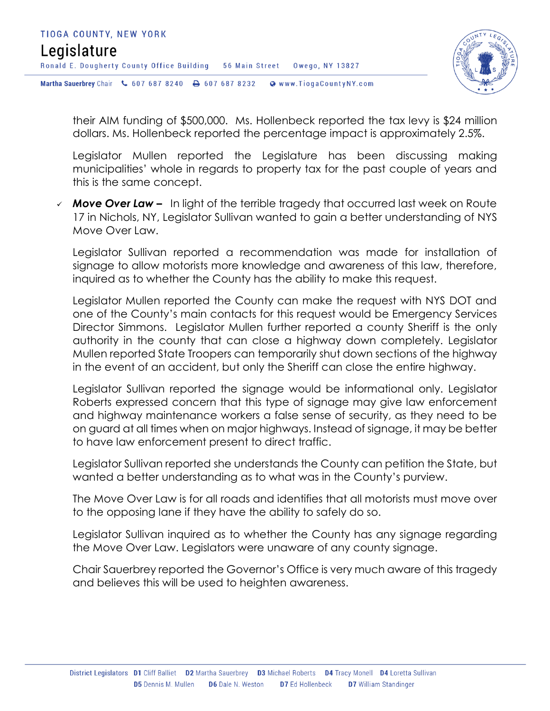

their AIM funding of \$500,000. Ms. Hollenbeck reported the tax levy is \$24 million dollars. Ms. Hollenbeck reported the percentage impact is approximately 2.5%.

Legislator Mullen reported the Legislature has been discussing making municipalities' whole in regards to property tax for the past couple of years and this is the same concept.

 *Move Over Law –* In light of the terrible tragedy that occurred last week on Route 17 in Nichols, NY, Legislator Sullivan wanted to gain a better understanding of NYS Move Over Law.

Legislator Sullivan reported a recommendation was made for installation of signage to allow motorists more knowledge and awareness of this law, therefore, inquired as to whether the County has the ability to make this request.

Legislator Mullen reported the County can make the request with NYS DOT and one of the County's main contacts for this request would be Emergency Services Director Simmons. Legislator Mullen further reported a county Sheriff is the only authority in the county that can close a highway down completely. Legislator Mullen reported State Troopers can temporarily shut down sections of the highway in the event of an accident, but only the Sheriff can close the entire highway.

Legislator Sullivan reported the signage would be informational only. Legislator Roberts expressed concern that this type of signage may give law enforcement and highway maintenance workers a false sense of security, as they need to be on guard at all times when on major highways. Instead of signage, it may be better to have law enforcement present to direct traffic.

Legislator Sullivan reported she understands the County can petition the State, but wanted a better understanding as to what was in the County's purview.

The Move Over Law is for all roads and identifies that all motorists must move over to the opposing lane if they have the ability to safely do so.

Legislator Sullivan inquired as to whether the County has any signage regarding the Move Over Law. Legislators were unaware of any county signage.

Chair Sauerbrey reported the Governor's Office is very much aware of this tragedy and believes this will be used to heighten awareness.